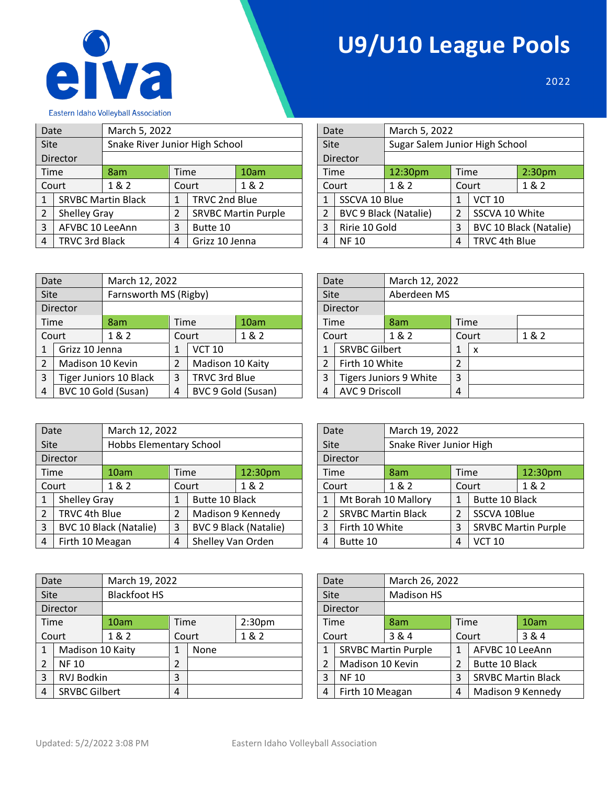

## **U9/U10 League Pools**

2022

٦

|  |  |  | <b>Eastern Idaho Volleyball Association</b> |
|--|--|--|---------------------------------------------|
|--|--|--|---------------------------------------------|

| Date           |                       | March 5, 2022                  |                                  |               |                            |   | Date           |               | March 5, 2022                  |               |                               |                    |  |
|----------------|-----------------------|--------------------------------|----------------------------------|---------------|----------------------------|---|----------------|---------------|--------------------------------|---------------|-------------------------------|--------------------|--|
| <b>Site</b>    |                       | Snake River Junior High School |                                  |               |                            |   | <b>Site</b>    |               | Sugar Salem Junior High School |               |                               |                    |  |
|                | Director              |                                |                                  |               |                            |   |                | Director      |                                |               |                               |                    |  |
|                | Time                  | 8am                            | Time                             |               | 10am                       |   | <b>Time</b>    |               | 12:30pm                        | Time          |                               | 2:30 <sub>pm</sub> |  |
|                | Court                 | 1 & 2                          |                                  | Court         | 1&2                        |   |                | Court         | 1 & 2                          |               | Court                         | 1&2                |  |
|                |                       | <b>SRVBC Martin Black</b>      |                                  | TRVC 2nd Blue |                            |   |                | SSCVA 10 Blue |                                |               | <b>VCT 10</b>                 |                    |  |
| 2              | Shelley Gray          |                                | 2                                |               | <b>SRVBC Martin Purple</b> |   | $\overline{2}$ |               | <b>BVC 9 Black (Natalie)</b>   | 2             | SSCVA 10 White                |                    |  |
| 3              | AFVBC 10 LeeAnn       |                                | 3                                | Butte 10      |                            |   | 3              |               | Ririe 10 Gold                  |               | <b>BVC 10 Black (Natalie)</b> |                    |  |
| $\overline{4}$ | <b>TRVC 3rd Black</b> |                                | Grizz 10 Jenna<br>$\overline{4}$ |               |                            | 4 | <b>NF 10</b>   |               | 4                              | TRVC 4th Blue |                               |                    |  |

| Date           |               |                              | Narch 5, 2022                  |                |                        |  |  |  |  |
|----------------|---------------|------------------------------|--------------------------------|----------------|------------------------|--|--|--|--|
| Site           |               |                              | Sugar Salem Junior High School |                |                        |  |  |  |  |
|                | Director      |                              |                                |                |                        |  |  |  |  |
| Time           |               | 12:30pm                      | Time                           |                | 2:30 <sub>pm</sub>     |  |  |  |  |
|                | Court         | 1 & 2                        |                                | 1 & 2<br>Court |                        |  |  |  |  |
| 1              | SSCVA 10 Blue |                              | <b>VCT 10</b><br>1             |                |                        |  |  |  |  |
| $\overline{2}$ |               | <b>BVC 9 Black (Natalie)</b> | $\mathcal{P}$                  | SSCVA 10 White |                        |  |  |  |  |
| 3              |               | Ririe 10 Gold                |                                |                | BVC 10 Black (Natalie) |  |  |  |  |
|                | <b>NF10</b>   |                              |                                | TRVC 4th Blue  |                        |  |  |  |  |

| Date           |                  |                               | March 12, 2022 |                  |                    |  | Date                |                        | March 12, 2022 |                |       |       |
|----------------|------------------|-------------------------------|----------------|------------------|--------------------|--|---------------------|------------------------|----------------|----------------|-------|-------|
| Site           |                  | Farnsworth MS (Rigby)         |                |                  |                    |  | Aberdeen MS<br>Site |                        |                |                |       |       |
|                | Director         |                               |                |                  |                    |  | Director            |                        |                |                |       |       |
|                | Time             | 8am                           |                | Time             | 10am               |  |                     | Time                   | 8am            | Time           |       |       |
|                | Court            | 1 & 2                         |                | Court            | 1&2                |  |                     | Court                  | 1 & 2          |                | Court | 1 & 2 |
|                | Grizz 10 Jenna   |                               |                | <b>VCT 10</b>    |                    |  | 1                   | <b>SRVBC Gilbert</b>   |                | 1              | x     |       |
| $\overline{2}$ | Madison 10 Kevin |                               |                | Madison 10 Kaity |                    |  |                     | Firth 10 White         |                | $\overline{2}$ |       |       |
| 3              |                  | <b>Tiger Juniors 10 Black</b> | 3              |                  | TRVC 3rd Blue      |  | 3                   | Tigers Juniors 9 White |                | 3              |       |       |
| 4              |                  | BVC 10 Gold (Susan)           | 4              |                  | BVC 9 Gold (Susan) |  | 4                   | <b>AVC 9 Driscoll</b>  |                | 4              |       |       |

| Date            |                        | March 12, 2022 |                |   |     |  |  |  |  |
|-----------------|------------------------|----------------|----------------|---|-----|--|--|--|--|
| Site            |                        | Aberdeen MS    |                |   |     |  |  |  |  |
| <b>Director</b> |                        |                |                |   |     |  |  |  |  |
| Time            |                        | 8am            | Time           |   |     |  |  |  |  |
|                 | Court                  | 1 & 2          | Court          |   | 1&2 |  |  |  |  |
| 1               | <b>SRVBC Gilbert</b>   |                | 1              | x |     |  |  |  |  |
| $\overline{2}$  | Firth 10 White         |                | $\overline{2}$ |   |     |  |  |  |  |
| 3               | Tigers Juniors 9 White |                | 3              |   |     |  |  |  |  |
| 4               | <b>AVC 9 Driscoll</b>  |                |                |   |     |  |  |  |  |

| Date           |                 | March 12, 2022                |                                     |                |                              |   |          | March 19, 2022<br>Date |                           |                         |                            |         |  |
|----------------|-----------------|-------------------------------|-------------------------------------|----------------|------------------------------|---|----------|------------------------|---------------------------|-------------------------|----------------------------|---------|--|
| <b>Site</b>    |                 | Hobbs Elementary School       |                                     |                |                              |   | Site     |                        |                           | Snake River Junior High |                            |         |  |
|                | Director        |                               |                                     |                |                              |   |          | Director               |                           |                         |                            |         |  |
|                | Time            | 10am                          | <b>Time</b>                         |                | 12:30pm                      |   |          | Time                   | 8am                       | <b>Time</b>             |                            | 12:30pm |  |
|                | Court           | 1&2                           |                                     | Court          | 1&2                          |   |          | Court                  | 1&2                       |                         | Court                      | 1&2     |  |
|                | Shelley Gray    |                               |                                     | Butte 10 Black |                              |   |          |                        | Mt Borah 10 Mallory       |                         | Butte 10 Black             |         |  |
| $\mathfrak{D}$ | TRVC 4th Blue   |                               | 2                                   |                | Madison 9 Kennedy            |   |          |                        | <b>SRVBC Martin Black</b> |                         | SSCVA 10Blue               |         |  |
| 3              |                 | <b>BVC 10 Black (Natalie)</b> | 3                                   |                | <b>BVC 9 Black (Natalie)</b> |   | 3        | Firth 10 White         |                           | 3                       | <b>SRVBC Martin Purple</b> |         |  |
| 4              | Firth 10 Meagan |                               | Shelley Van Orden<br>$\overline{4}$ |                |                              | 4 | Butte 10 |                        |                           | <b>VCT 10</b>           |                            |         |  |

| Date           |                           | March 19, 2022      |                            |       |     | Date              |                  | March 26, 2022             |                           |                 |      |
|----------------|---------------------------|---------------------|----------------------------|-------|-----|-------------------|------------------|----------------------------|---------------------------|-----------------|------|
| <b>Site</b>    |                           | <b>Blackfoot HS</b> |                            |       |     | Site              |                  | <b>Madison HS</b>          |                           |                 |      |
|                | Director                  |                     |                            |       |     | Director          |                  |                            |                           |                 |      |
|                | Time                      | 10am                | 2:30 <sub>pm</sub><br>Time |       |     |                   | Time             | 8am                        |                           | Time            | 10am |
|                | Court                     | 1&2                 |                            | Court | 1&2 | 3 & 4<br>Court    |                  |                            | Court                     |                 | 3&4  |
|                | Madison 10 Kaity          |                     | 1                          | None  |     | 1                 |                  | <b>SRVBC Martin Purple</b> | $\mathbf{1}$              | AFVBC 10 LeeAnn |      |
| $\overline{2}$ | <b>NF10</b>               |                     | 2                          |       |     |                   | Madison 10 Kevin |                            | $\overline{2}$            | Butte 10 Black  |      |
| 3              | <b>RVJ Bodkin</b>         |                     | 3                          |       | 3   | <b>NF10</b>       |                  | 3                          | <b>SRVBC Martin Black</b> |                 |      |
| 4              | <b>SRVBC Gilbert</b><br>4 |                     | Firth 10 Meagan<br>4       |       | 4   | Madison 9 Kennedy |                  |                            |                           |                 |      |

| Date           |                           | March 19, 2022          |       |                |                            |  |  |  |
|----------------|---------------------------|-------------------------|-------|----------------|----------------------------|--|--|--|
| Site           |                           | Snake River Junior High |       |                |                            |  |  |  |
|                | <b>Director</b>           |                         |       |                |                            |  |  |  |
| Time           |                           | 8am                     | Time  |                | 12:30pm                    |  |  |  |
| Court          |                           | 1 & 2                   | Court |                | 1 & 2                      |  |  |  |
| 1              |                           | Mt Borah 10 Mallory     | 1     | Butte 10 Black |                            |  |  |  |
| $\overline{2}$ | <b>SRVBC Martin Black</b> |                         | 2     | SSCVA 10Blue   |                            |  |  |  |
| 3              | Firth 10 White            |                         | 3     |                | <b>SRVBC Martin Purple</b> |  |  |  |
| 4              | Butte 10                  |                         |       | <b>VCT 10</b>  |                            |  |  |  |

| Date                      |                  | March 26, 2022             |       |                           |       |
|---------------------------|------------------|----------------------------|-------|---------------------------|-------|
| <b>Madison HS</b><br>Site |                  |                            |       |                           |       |
|                           | Director         |                            |       |                           |       |
| Time                      |                  | 8am                        | Time  |                           | 10am  |
|                           | Court            | 3 & 4                      | Court |                           | 3 & 4 |
| 1                         |                  | <b>SRVBC Martin Purple</b> | 1     | AFVBC 10 LeeAnn           |       |
| $\overline{2}$            | Madison 10 Kevin |                            | 2     | Butte 10 Black            |       |
| 3                         | <b>NF10</b>      |                            | 3     | <b>SRVBC Martin Black</b> |       |
| 4                         | Firth 10 Meagan  |                            |       | Madison 9 Kennedy         |       |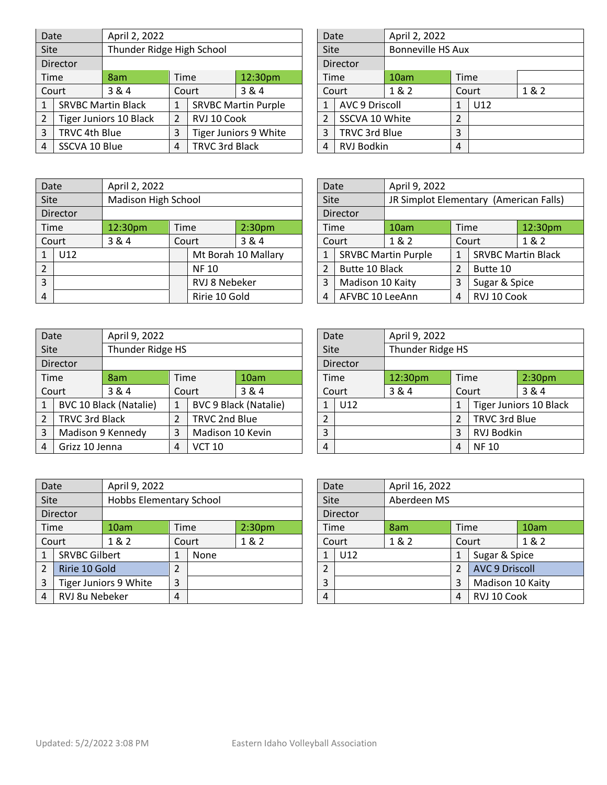| Date           |                                             | April 2, 2022                 |      |             |                            |  |                | Date                  | April 2, 2022 |                          |     |       |
|----------------|---------------------------------------------|-------------------------------|------|-------------|----------------------------|--|----------------|-----------------------|---------------|--------------------------|-----|-------|
| <b>Site</b>    |                                             | Thunder Ridge High School     |      |             |                            |  | Site           |                       |               | <b>Bonneville HS Aux</b> |     |       |
|                | Director                                    |                               |      |             |                            |  |                | <b>Director</b>       |               |                          |     |       |
|                | Time                                        | 8am                           | Time |             | 12:30pm                    |  |                | Time                  | 10am          | Time                     |     |       |
|                | Court                                       | 3&4                           |      | Court       | 3&4                        |  |                | Court                 | 1&2           | Court                    |     | 1 & 2 |
|                |                                             | <b>SRVBC Martin Black</b>     |      |             | <b>SRVBC Martin Purple</b> |  |                | <b>AVC 9 Driscoll</b> |               | 1                        | U12 |       |
| $\overline{2}$ |                                             | <b>Tiger Juniors 10 Black</b> | 2    | RVJ 10 Cook |                            |  |                | SSCVA 10 White        |               | 2                        |     |       |
| 3              | TRVC 4th Blue                               |                               | 3    |             | Tiger Juniors 9 White      |  | 3              | TRVC 3rd Blue         |               | 3                        |     |       |
| 4              | <b>TRVC 3rd Black</b><br>SSCVA 10 Blue<br>4 |                               |      | 4           | <b>RVJ Bodkin</b>          |  | $\overline{4}$ |                       |               |                          |     |       |

| Date           |                       | April 2, 2022 |                          |     |       |  |  |  |  |
|----------------|-----------------------|---------------|--------------------------|-----|-------|--|--|--|--|
| Site           |                       |               | <b>Bonneville HS Aux</b> |     |       |  |  |  |  |
|                | Director              |               |                          |     |       |  |  |  |  |
| Time           |                       | 10am          | Time                     |     |       |  |  |  |  |
| Court          |                       | 1 & 2         | Court                    |     | 1 & 2 |  |  |  |  |
| $\mathbf{1}$   | <b>AVC 9 Driscoll</b> |               | $\mathbf{1}$             | U12 |       |  |  |  |  |
| $\overline{2}$ | SSCVA 10 White        |               | 2                        |     |       |  |  |  |  |
| 3              | TRVC 3rd Blue         |               | 3                        |     |       |  |  |  |  |
| 4              | <b>RVJ Bodkin</b>     |               | 4                        |     |       |  |  |  |  |

| Date           |               |                     | April 2, 2022 |             |                     |                 |                  | Date           | April 9, 2022                          |               |          |                           |
|----------------|---------------|---------------------|---------------|-------------|---------------------|-----------------|------------------|----------------|----------------------------------------|---------------|----------|---------------------------|
| <b>Site</b>    |               | Madison High School |               |             |                     |                 | <b>Site</b>      |                | JR Simplot Elementary (American Falls) |               |          |                           |
|                | Director      |                     |               |             |                     |                 |                  | Director       |                                        |               |          |                           |
|                | Time          | 12:30pm             | Time          |             | 2:30 <sub>pm</sub>  |                 |                  | Time           | 10am                                   | Time          |          | 12:30pm                   |
|                | Court         | 3&4                 |               | Court       | 3 & 4               |                 |                  | Court          | 1 & 2<br>Court                         |               |          | 1&2                       |
|                | U12           |                     |               |             | Mt Borah 10 Mallary |                 | 1                |                | <b>SRVBC Martin Purple</b>             |               |          | <b>SRVBC Martin Black</b> |
| $\overline{2}$ |               |                     |               | <b>NF10</b> |                     |                 | 2                | Butte 10 Black |                                        |               | Butte 10 |                           |
| 3              |               | RVJ 8 Nebeker       |               |             |                     | 3               | Madison 10 Kaity |                | 3                                      | Sugar & Spice |          |                           |
| 4              | Ririe 10 Gold |                     |               |             | 4                   | AFVBC 10 LeeAnn |                  | 4              | RVJ 10 Cook                            |               |          |                           |

| Date           |                   | April 9, 2022                 |   |                              |       |          | Date  | April 9, 2022 |                    |               |                               |  |  |
|----------------|-------------------|-------------------------------|---|------------------------------|-------|----------|-------|---------------|--------------------|---------------|-------------------------------|--|--|
| <b>Site</b>    |                   | Thunder Ridge HS              |   |                              |       | Site     |       |               | Thunder Ridge HS   |               |                               |  |  |
|                | Director          |                               |   |                              |       | Director |       |               |                    |               |                               |  |  |
|                | Time              | Time<br>10am<br>8am           |   |                              | Time  | 12:30pm  | Time  |               | 2:30 <sub>pm</sub> |               |                               |  |  |
|                | Court             | 3 & 4                         |   | Court                        | 3 & 4 |          | Court | 3&4           | Court              |               | 3 & 4                         |  |  |
|                |                   | <b>BVC 10 Black (Natalie)</b> |   | <b>BVC 9 Black (Natalie)</b> |       |          | U12   |               |                    |               | <b>Tiger Juniors 10 Black</b> |  |  |
| $\overline{2}$ |                   | <b>TRVC 3rd Black</b>         |   | TRVC 2nd Blue                |       | ำ        |       |               | $\overline{2}$     | TRVC 3rd Blue |                               |  |  |
| 3              | Madison 9 Kennedy |                               | 3 | Madison 10 Kevin             |       | 3        |       |               | RVJ Bodkin<br>3    |               |                               |  |  |
| $\overline{4}$ | Grizz 10 Jenna    |                               | 4 | <b>VCT 10</b>                |       | 4        |       |               | 4                  | <b>NF10</b>   |                               |  |  |

| Date           |                            | April 9, 2022                      |                         |       |       |   | April 16, 2022<br>Date |     |             |   |                  |                       |       |
|----------------|----------------------------|------------------------------------|-------------------------|-------|-------|---|------------------------|-----|-------------|---|------------------|-----------------------|-------|
| <b>Site</b>    |                            |                                    | Hobbs Elementary School |       |       |   | Site                   |     | Aberdeen MS |   |                  |                       |       |
|                | Director                   |                                    |                         |       |       |   | Director               |     |             |   |                  |                       |       |
|                | Time                       | 2:30 <sub>pm</sub><br>Time<br>10am |                         |       | Time  |   | 8am                    |     | Time        |   | 10am             |                       |       |
|                | Court                      | 1 & 2                              |                         | Court | 1 & 2 |   | Court                  |     | 1&2         |   |                  | Court                 | 1 & 2 |
|                | <b>SRVBC Gilbert</b>       |                                    | 1                       | None  |       |   | $\mathbf{1}$           | U12 |             |   |                  | Sugar & Spice         |       |
| $\overline{2}$ | Ririe 10 Gold              |                                    | $\overline{2}$          |       |       |   | $\overline{2}$         |     |             |   |                  | <b>AVC 9 Driscoll</b> |       |
| 3              | Tiger Juniors 9 White<br>3 |                                    |                         |       |       | 3 |                        |     |             | 3 | Madison 10 Kaity |                       |       |
| 4              | RVJ 8u Nebeker             |                                    | $\overline{4}$          |       |       |   | $\overline{4}$         |     |             |   | 4                | RVJ 10 Cook           |       |

| Date           |                  | April 9, 2022                          |       |                           |         |  |  |  |
|----------------|------------------|----------------------------------------|-------|---------------------------|---------|--|--|--|
| Site           |                  | JR Simplot Elementary (American Falls) |       |                           |         |  |  |  |
|                | Director         |                                        |       |                           |         |  |  |  |
| Time           |                  | 10am                                   | Time  |                           | 12:30pm |  |  |  |
| Court          |                  | 1 & 2                                  | Court |                           | 1&2     |  |  |  |
| 1              |                  | <b>SRVBC Martin Purple</b>             | 1     | <b>SRVBC Martin Black</b> |         |  |  |  |
| $\overline{2}$ | Butte 10 Black   |                                        | 2     | Butte 10                  |         |  |  |  |
| 3              | Madison 10 Kaity |                                        | 3     | Sugar & Spice             |         |  |  |  |
| 4              | AFVBC 10 LeeAnn  |                                        |       | RVJ 10 Cook               |         |  |  |  |

| Date           |          | April 9, 2022    |                |                               |                    |  |  |
|----------------|----------|------------------|----------------|-------------------------------|--------------------|--|--|
| Site           |          | Thunder Ridge HS |                |                               |                    |  |  |
|                | Director |                  |                |                               |                    |  |  |
| Time           |          | 12:30pm          | Time           |                               | 2:30 <sub>pm</sub> |  |  |
| Court          |          | 3 & 4            | Court          |                               | 3 & 4              |  |  |
| 1              | U12      |                  | 1              | <b>Tiger Juniors 10 Black</b> |                    |  |  |
| $\overline{2}$ |          |                  | $\overline{2}$ | TRVC 3rd Blue                 |                    |  |  |
| 3              |          |                  | 3              | RVJ Bodkin                    |                    |  |  |
| 4              |          | 4                | <b>NF10</b>    |                               |                    |  |  |

| Date           |          | April 16, 2022 |       |                       |      |  |
|----------------|----------|----------------|-------|-----------------------|------|--|
| Site           |          | Aberdeen MS    |       |                       |      |  |
|                | Director |                |       |                       |      |  |
| Time<br>8am    |          |                |       | Time                  | 10am |  |
| Court          |          | 1 & 2          | Court |                       | 1&2  |  |
| $\mathbf{1}$   | U12      |                | 1     | Sugar & Spice         |      |  |
| $\overline{2}$ |          |                | 2     | <b>AVC 9 Driscoll</b> |      |  |
| 3              |          |                | 3     | Madison 10 Kaity      |      |  |
| 4              |          |                |       | RVJ 10 Cook           |      |  |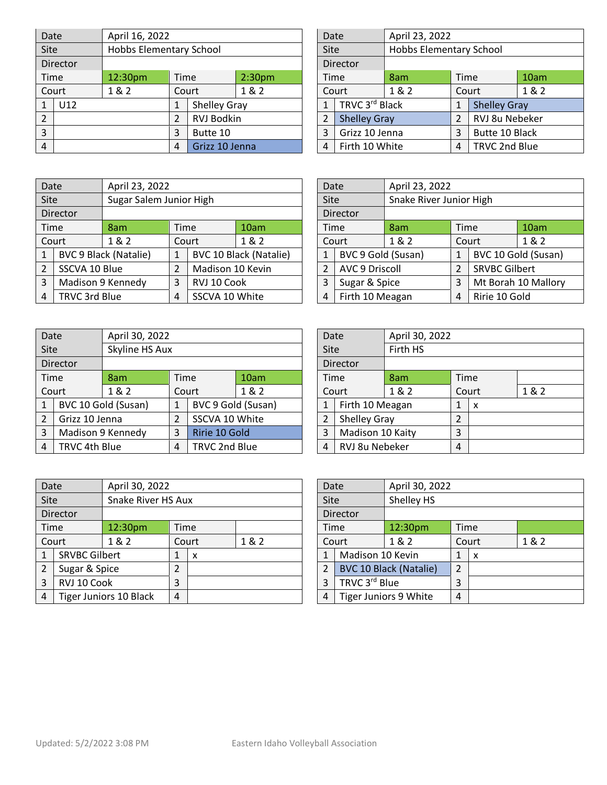| Date           |                       |                                       | April 16, 2022          |                     |  |                     | Date           |                | April 23, 2022          |               |                     |      |
|----------------|-----------------------|---------------------------------------|-------------------------|---------------------|--|---------------------|----------------|----------------|-------------------------|---------------|---------------------|------|
| <b>Site</b>    |                       |                                       | Hobbs Elementary School |                     |  |                     |                |                | Hobbs Elementary School |               |                     |      |
|                | Director              |                                       |                         |                     |  |                     |                | Director       |                         |               |                     |      |
|                | Time                  | 12:30pm<br>2:30 <sub>pm</sub><br>Time |                         |                     |  |                     |                | Time           | 8am                     | Time          |                     | 10am |
|                | 1&2<br>Court<br>Court |                                       | 1 & 2                   |                     |  | Court               | 1 & 2          |                | Court                   | 1&2           |                     |      |
|                | U12                   |                                       | 1                       | <b>Shelley Gray</b> |  |                     |                | TRVC 3rd Black |                         |               | <b>Shelley Gray</b> |      |
| $\overline{2}$ |                       | RVJ Bodkin                            |                         |                     |  | <b>Shelley Gray</b> |                |                | RVJ 8u Nebeker          |               |                     |      |
| 3              |                       |                                       | 3                       | Butte 10            |  |                     | 3              | Grizz 10 Jenna |                         | 3             | Butte 10 Black      |      |
| 4              |                       | 4                                     | Grizz 10 Jenna          |                     |  | $\overline{4}$      | Firth 10 White |                | 4                       | TRVC 2nd Blue |                     |      |

| Date           |                     | April 23, 2022                 |       |                     |      |  |  |  |
|----------------|---------------------|--------------------------------|-------|---------------------|------|--|--|--|
| Site           |                     | <b>Hobbs Elementary School</b> |       |                     |      |  |  |  |
|                | <b>Director</b>     |                                |       |                     |      |  |  |  |
| Time           |                     | 8am                            | Time  |                     | 10am |  |  |  |
| Court          |                     | 1 & 2                          | Court |                     | 1&2  |  |  |  |
| $\mathbf{1}$   | TRVC 3rd Black      |                                | 1     | <b>Shelley Gray</b> |      |  |  |  |
| $\overline{2}$ | <b>Shelley Gray</b> |                                | 2     | RVJ 8u Nebeker      |      |  |  |  |
| 3              | Grizz 10 Jenna      |                                | 3     | Butte 10 Black      |      |  |  |  |
| 4              | Firth 10 White      |                                | 4     | TRVC 2nd Blue       |      |  |  |  |

| Date        |                                      |                              | April 23, 2022 |                  |                               |                 |       | Date                  | April 23, 2022          |       |                      |                     |  |
|-------------|--------------------------------------|------------------------------|----------------|------------------|-------------------------------|-----------------|-------|-----------------------|-------------------------|-------|----------------------|---------------------|--|
| <b>Site</b> |                                      | Sugar Salem Junior High      |                |                  |                               |                 | Site  |                       | Snake River Junior High |       |                      |                     |  |
|             | Director                             |                              |                |                  |                               |                 |       | Director              |                         |       |                      |                     |  |
|             | Time                                 | 8am                          | Time           |                  | 10am                          |                 |       | <b>Time</b>           | 8am                     | Time  |                      | 10am                |  |
|             | Court                                | 1&2<br>1&2<br>Court          |                |                  |                               |                 | Court | 1&2                   |                         | Court | 1&2                  |                     |  |
|             |                                      | <b>BVC 9 Black (Natalie)</b> | $\mathbf{1}$   |                  | <b>BVC 10 Black (Natalie)</b> |                 |       | BVC 9 Gold (Susan)    |                         |       |                      | BVC 10 Gold (Susan) |  |
| 2           | SSCVA 10 Blue                        |                              | $\overline{2}$ | Madison 10 Kevin |                               |                 |       | <b>AVC 9 Driscoll</b> |                         |       | <b>SRVBC Gilbert</b> |                     |  |
| 3           |                                      | Madison 9 Kennedy            | 3              | RVJ 10 Cook      |                               |                 |       | Sugar & Spice         |                         | 3     |                      | Mt Borah 10 Mallory |  |
| 4           | TRVC 3rd Blue<br>SSCVA 10 White<br>4 |                              |                |                  | 4                             | Firth 10 Meagan |       | 4                     | Ririe 10 Gold           |       |                      |                     |  |

| Date           |                       | April 23, 2022          |              |                      |                     |  |  |  |
|----------------|-----------------------|-------------------------|--------------|----------------------|---------------------|--|--|--|
| Site           |                       | Snake River Junior High |              |                      |                     |  |  |  |
|                | Director              |                         |              |                      |                     |  |  |  |
| Time           |                       | 8am                     | Time         |                      | 10am                |  |  |  |
| Court          |                       | 1 & 2                   | Court        |                      | 1 & 2               |  |  |  |
| 1              | BVC 9 Gold (Susan)    |                         | $\mathbf{1}$ |                      | BVC 10 Gold (Susan) |  |  |  |
| $\overline{2}$ | <b>AVC 9 Driscoll</b> |                         | 2            | <b>SRVBC Gilbert</b> |                     |  |  |  |
| 3              | Sugar & Spice         |                         |              | Mt Borah 10 Mallory  |                     |  |  |  |
| 4              | Firth 10 Meagan       |                         |              | Ririe 10 Gold        |                     |  |  |  |

| Date           |                                |                     | April 30, 2022     |                    |               |                  |                |                  | April 30, 2022 |      |   |  |
|----------------|--------------------------------|---------------------|--------------------|--------------------|---------------|------------------|----------------|------------------|----------------|------|---|--|
| <b>Site</b>    |                                | Skyline HS Aux      |                    |                    |               | Firth HS<br>Site |                |                  |                |      |   |  |
|                | Director                       |                     |                    |                    |               |                  | Director       |                  |                |      |   |  |
|                | Time                           | 8am                 | Time               |                    | 10am          |                  |                | Time             | 8am            | Time |   |  |
|                | 1&2<br>1 & 2<br>Court<br>Court |                     |                    | Court              |               | 1 & 2            |                | Court            | 1 & 2          |      |   |  |
| 1              |                                | BVC 10 Gold (Susan) | 1                  | BVC 9 Gold (Susan) |               |                  |                | Firth 10 Meagan  |                | 1    | x |  |
| $\overline{2}$ | Grizz 10 Jenna                 |                     |                    | SSCVA 10 White     |               |                  |                | Shelley Gray     |                | 2    |   |  |
| 3              |                                | Madison 9 Kennedy   | 3                  |                    | Ririe 10 Gold |                  | 3              | Madison 10 Kaity |                | 3    |   |  |
| 4              | TRVC 4th Blue                  |                     | TRVC 2nd Blue<br>4 |                    |               | 4                | RVJ 8u Nebeker |                  | 4              |      |   |  |

| Date           |                  | April 30, 2022 |                |   |       |  |  |  |  |
|----------------|------------------|----------------|----------------|---|-------|--|--|--|--|
| Site           |                  | Firth HS       |                |   |       |  |  |  |  |
|                | Director         |                |                |   |       |  |  |  |  |
| Time           |                  | 8am            | <b>Time</b>    |   |       |  |  |  |  |
| Court          |                  | 1 & 2          | Court          |   | 1 & 2 |  |  |  |  |
| $\mathbf{1}$   | Firth 10 Meagan  |                | 1              | x |       |  |  |  |  |
| $\overline{2}$ | Shelley Gray     |                | $\overline{2}$ |   |       |  |  |  |  |
| 3              | Madison 10 Kaity |                | 3              |   |       |  |  |  |  |
| 4              | RVJ 8u Nebeker   |                |                |   |       |  |  |  |  |

|      | Date                               | April 30, 2022 |                    |      |                       |  |                         | Date             | April 30, 2022                |      |       |  |
|------|------------------------------------|----------------|--------------------|------|-----------------------|--|-------------------------|------------------|-------------------------------|------|-------|--|
| Site |                                    |                | Snake River HS Aux |      |                       |  | Site                    |                  | Shelley HS                    |      |       |  |
|      | Director                           |                |                    |      | <b>Director</b>       |  |                         |                  |                               |      |       |  |
|      | Time                               | 12:30pm        |                    | Time |                       |  |                         | Time             | 12:30 <sub>pm</sub>           | Time |       |  |
|      | Court                              | 1&2<br>Court   |                    |      | 1&2                   |  | Court                   |                  | 1&2                           |      | Court |  |
|      | <b>SRVBC Gilbert</b>               |                | 1                  | X    |                       |  | 1                       | Madison 10 Kevin |                               | 1    | x     |  |
|      | Sugar & Spice                      |                | 2                  |      |                       |  | $\overline{\mathbf{c}}$ |                  | <b>BVC 10 Black (Natalie)</b> | 2    |       |  |
| 3    | RVJ 10 Cook                        |                | 3                  |      |                       |  | 3                       |                  | TRVC 3rd Blue                 |      |       |  |
| 4    | <b>Tiger Juniors 10 Black</b><br>4 |                |                    | 4    | Tiger Juniors 9 White |  | 4                       |                  |                               |      |       |  |

| Date           |                               | April 30, 2022 |       |   |     |  |  |  |
|----------------|-------------------------------|----------------|-------|---|-----|--|--|--|
| Site           |                               | Shelley HS     |       |   |     |  |  |  |
| Director       |                               |                |       |   |     |  |  |  |
|                | Time                          | 12:30pm        | Time  |   |     |  |  |  |
|                | Court                         | 1 & 2          | Court |   | 1&2 |  |  |  |
| 1              | Madison 10 Kevin              |                |       | X |     |  |  |  |
| $\overline{2}$ | <b>BVC 10 Black (Natalie)</b> |                |       |   |     |  |  |  |
| 3              | TRVC 3rd Blue                 |                |       |   |     |  |  |  |
| 4              | Tiger Juniors 9 White         |                |       |   |     |  |  |  |